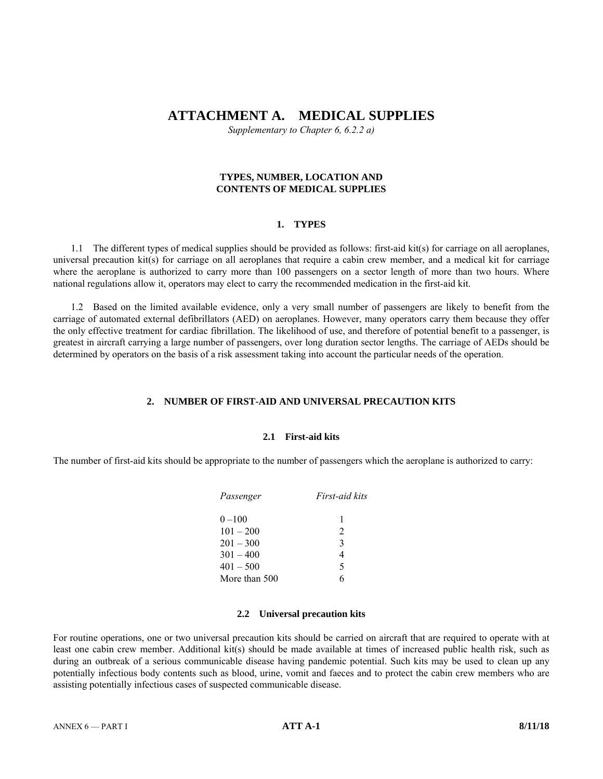# **ATTACHMENT A. MEDICAL SUPPLIES**

*Supplementary to Chapter 6, 6.2.2 a)* 

## **TYPES, NUMBER, LOCATION AND CONTENTS OF MEDICAL SUPPLIES**

### **1. TYPES**

 1.1 The different types of medical supplies should be provided as follows: first-aid kit(s) for carriage on all aeroplanes, universal precaution kit(s) for carriage on all aeroplanes that require a cabin crew member, and a medical kit for carriage where the aeroplane is authorized to carry more than 100 passengers on a sector length of more than two hours. Where national regulations allow it, operators may elect to carry the recommended medication in the first-aid kit.

 1.2 Based on the limited available evidence, only a very small number of passengers are likely to benefit from the carriage of automated external defibrillators (AED) on aeroplanes. However, many operators carry them because they offer the only effective treatment for cardiac fibrillation. The likelihood of use, and therefore of potential benefit to a passenger, is greatest in aircraft carrying a large number of passengers, over long duration sector lengths. The carriage of AEDs should be determined by operators on the basis of a risk assessment taking into account the particular needs of the operation.

#### **2. NUMBER OF FIRST-AID AND UNIVERSAL PRECAUTION KITS**

#### **2.1 First-aid kits**

The number of first-aid kits should be appropriate to the number of passengers which the aeroplane is authorized to carry:

| Passenger     | First-aid kits |
|---------------|----------------|
| $0 - 100$     | 1              |
| $101 - 200$   | $\mathcal{L}$  |
| $201 - 300$   | $\mathbf{3}$   |
| $301 - 400$   | 4              |
| $401 - 500$   | 5              |
| More than 500 |                |

#### **2.2 Universal precaution kits**

For routine operations, one or two universal precaution kits should be carried on aircraft that are required to operate with at least one cabin crew member. Additional kit(s) should be made available at times of increased public health risk, such as during an outbreak of a serious communicable disease having pandemic potential. Such kits may be used to clean up any potentially infectious body contents such as blood, urine, vomit and faeces and to protect the cabin crew members who are assisting potentially infectious cases of suspected communicable disease.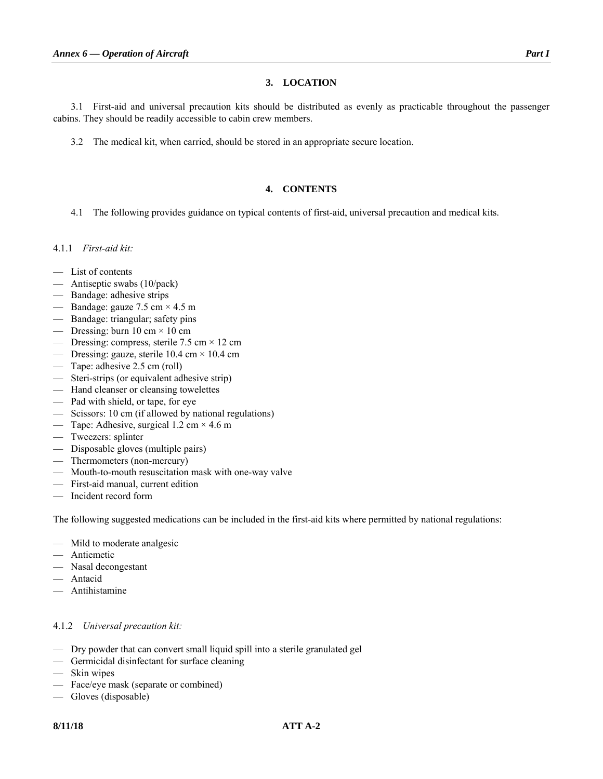## **3. LOCATION**

3.1 First-aid and universal precaution kits should be distributed as evenly as practicable throughout the passenger cabins. They should be readily accessible to cabin crew members.

3.2 The medical kit, when carried, should be stored in an appropriate secure location.

# **4. CONTENTS**

4.1 The following provides guidance on typical contents of first-aid, universal precaution and medical kits.

#### 4.1.1 *First-aid kit:*

- List of contents
- Antiseptic swabs (10/pack)
- Bandage: adhesive strips
- Bandage: gauze  $7.5 \text{ cm} \times 4.5 \text{ m}$
- Bandage: triangular; safety pins
- Dressing: burn  $10 \text{ cm} \times 10 \text{ cm}$
- Dressing: compress, sterile  $7.5 \text{ cm} \times 12 \text{ cm}$
- Dressing: gauze, sterile  $10.4 \text{ cm} \times 10.4 \text{ cm}$
- Tape: adhesive 2.5 cm (roll)
- Steri-strips (or equivalent adhesive strip)
- Hand cleanser or cleansing towelettes
- Pad with shield, or tape, for eye
- Scissors: 10 cm (if allowed by national regulations)
- Tape: Adhesive, surgical  $1.2 \text{ cm} \times 4.6 \text{ m}$
- Tweezers: splinter
- Disposable gloves (multiple pairs)
- Thermometers (non-mercury)
- Mouth-to-mouth resuscitation mask with one-way valve
- First-aid manual, current edition
- Incident record form

The following suggested medications can be included in the first-aid kits where permitted by national regulations:

- Mild to moderate analgesic
- Antiemetic
- Nasal decongestant
- Antacid
- Antihistamine

# 4.1.2 *Universal precaution kit:*

- Dry powder that can convert small liquid spill into a sterile granulated gel
- Germicidal disinfectant for surface cleaning
- Skin wipes
- Face/eye mask (separate or combined)
- Gloves (disposable)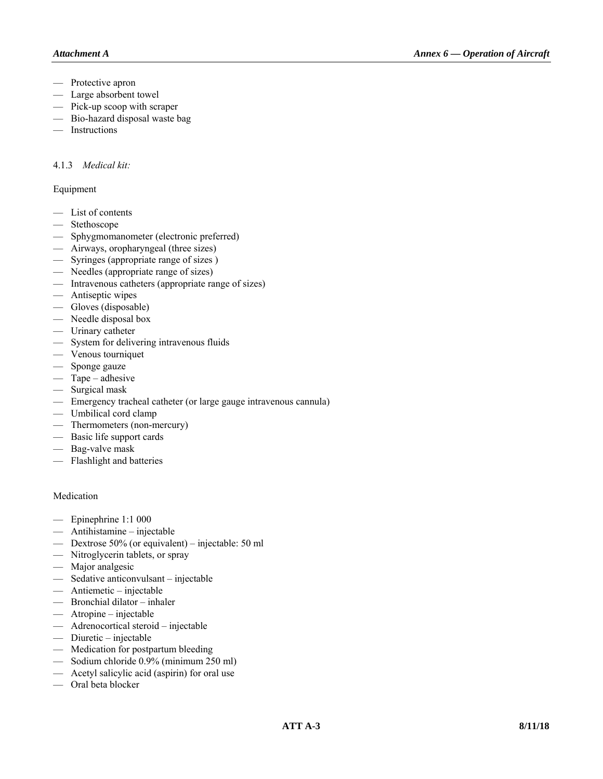- Protective apron
- Large absorbent towel
- Pick-up scoop with scraper
- Bio-hazard disposal waste bag
- Instructions

# 4.1.3 *Medical kit:*

### Equipment

- List of contents
- Stethoscope
- Sphygmomanometer (electronic preferred)
- Airways, oropharyngeal (three sizes)
- Syringes (appropriate range of sizes )
- Needles (appropriate range of sizes)
- Intravenous catheters (appropriate range of sizes)
- Antiseptic wipes
- Gloves (disposable)
- Needle disposal box
- Urinary catheter
- System for delivering intravenous fluids
- Venous tourniquet
- Sponge gauze
- Tape adhesive
- Surgical mask
- Emergency tracheal catheter (or large gauge intravenous cannula)
- Umbilical cord clamp
- Thermometers (non-mercury)
- Basic life support cards
- Bag-valve mask
- Flashlight and batteries

# Medication

- Epinephrine 1:1 000
- Antihistamine injectable
- Dextrose 50% (or equivalent) injectable: 50 ml
- Nitroglycerin tablets, or spray
- Major analgesic
- Sedative anticonvulsant injectable
- Antiemetic injectable
- Bronchial dilator inhaler
- Atropine injectable
- Adrenocortical steroid injectable
- Diuretic injectable
- Medication for postpartum bleeding
- Sodium chloride 0.9% (minimum 250 ml)
- Acetyl salicylic acid (aspirin) for oral use
- Oral beta blocker